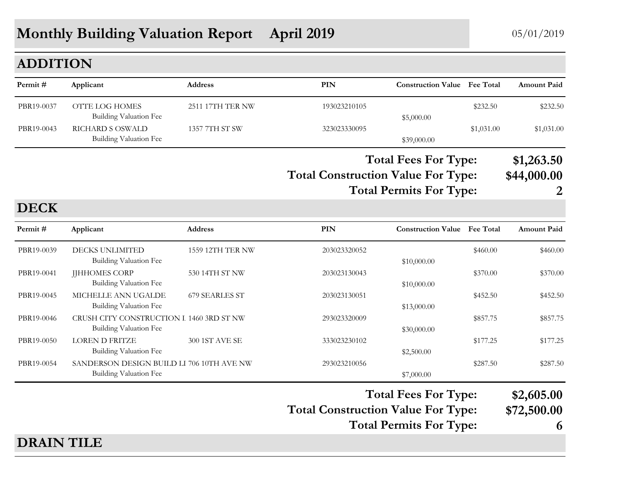# **Monthly Building Valuation Report April 2019** 05/01/2019

## **ADDITION**

| Permit #   | Applicant                                  | <b>Address</b>   | PIN          | <b>Construction Value</b> Fee Total |            | <b>Amount Paid</b> |
|------------|--------------------------------------------|------------------|--------------|-------------------------------------|------------|--------------------|
| PBR19-0037 | OTTE LOG HOMES<br>Building Valuation Fee   | 2511 17TH TER NW | 193023210105 | \$5,000.00                          | \$232.50   | \$232.50           |
| PBR19-0043 | RICHARD S OSWALD<br>Building Valuation Fee | 1357 7TH ST SW   | 323023330095 | \$39,000.00                         | \$1,031.00 | \$1,031.00         |

**Total Construction Value For Type: \$44,000.00 Total Fees For Type: \$1,263.50**

#### **Total Permits For Type: 2**

## **DECK**

| Permit#    | Applicant                                                           | <b>Address</b>   | PIN                                       | <b>Construction Value</b> Fee Total |          | <b>Amount Paid</b>        |
|------------|---------------------------------------------------------------------|------------------|-------------------------------------------|-------------------------------------|----------|---------------------------|
| PBR19-0039 | DECKS UNLIMITED<br>Building Valuation Fee                           | 1559 12TH TER NW | 203023320052                              | \$10,000.00                         | \$460.00 | \$460.00                  |
| PBR19-0041 | <b>JJHHOMES CORP</b><br><b>Building Valuation Fee</b>               | 530 14TH ST NW   | 203023130043                              | \$10,000.00                         | \$370.00 | \$370.00                  |
| PBR19-0045 | MICHELLE ANN UGALDE<br>Building Valuation Fee                       | 679 SEARLES ST   | 203023130051                              | \$13,000.00                         | \$452.50 | \$452.50                  |
| PBR19-0046 | CRUSH CITY CONSTRUCTION I 1460 3RD ST NW<br>Building Valuation Fee  |                  | 293023320009                              | \$30,000.00                         | \$857.75 | \$857.75                  |
| PBR19-0050 | <b>LOREN D FRITZE</b><br>Building Valuation Fee                     | 300 1ST AVE SE   | 333023230102                              | \$2,500.00                          | \$177.25 | \$177.25                  |
| PBR19-0054 | SANDERSON DESIGN BUILD LI 706 10TH AVE NW<br>Building Valuation Fee |                  | 293023210056                              | \$7,000.00                          | \$287.50 | \$287.50                  |
|            |                                                                     |                  | <b>Total Construction Value For Type:</b> | <b>Total Fees For Type:</b>         |          | \$2,605.00<br>\$72,500.00 |

**Total Permits For Type: 6**

#### **DRAIN TILE**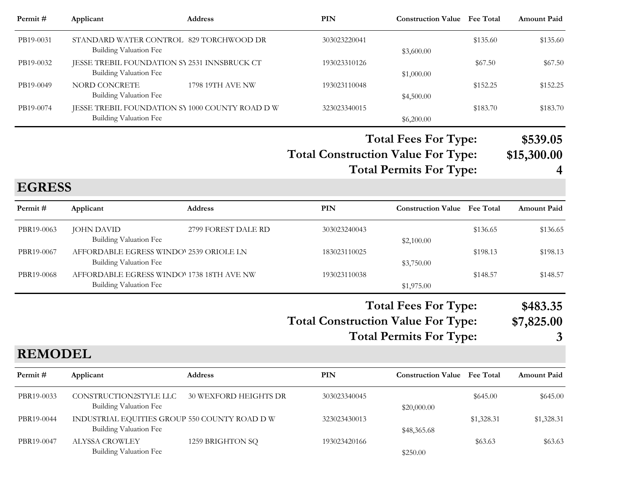| Permit #  | Applicant                                                                | <b>Address</b>   | PIN          | <b>Construction Value</b> Fee Total |          | <b>Amount Paid</b> |
|-----------|--------------------------------------------------------------------------|------------------|--------------|-------------------------------------|----------|--------------------|
| PB19-0031 | STANDARD WATER CONTROL 829 TORCHWOOD DR<br>Building Valuation Fee        |                  | 303023220041 | \$3,600.00                          | \$135.60 | \$135.60           |
| PB19-0032 | JESSE TREBIL FOUNDATION SY 2531 INNSBRUCK CT<br>Building Valuation Fee   |                  | 193023310126 | \$1,000.00                          | \$67.50  | \$67.50            |
| PB19-0049 | NORD CONCRETE<br><b>Building Valuation Fee</b>                           | 1798 19TH AVE NW | 193023110048 | \$4,500.00                          | \$152.25 | \$152.25           |
| PB19-0074 | JESSE TREBIL FOUNDATION SY 1000 COUNTY ROAD DW<br>Building Valuation Fee |                  | 323023340015 | \$6,200.00                          | \$183.70 | \$183.70           |

**Total Construction Value For Type: \$15,300.00 Total Fees For Type: \$539.05 Total Permits For Type: 4**

**EGRESS**

**REMODEL**

| Permit#    | Applicant                                                           | <b>Address</b>      | PIN          | <b>Construction Value</b> Fee Total |          | <b>Amount Paid</b> |
|------------|---------------------------------------------------------------------|---------------------|--------------|-------------------------------------|----------|--------------------|
| PBR19-0063 | JOHN DAVID<br>Building Valuation Fee                                | 2799 FOREST DALE RD | 303023240043 | \$2,100.00                          | \$136.65 | \$136.65           |
| PBR19-0067 | AFFORDABLE EGRESS WINDO' 2539 ORIOLE LN<br>Building Valuation Fee   |                     | 183023110025 | \$3,750.00                          | \$198.13 | \$198.13           |
| PBR19-0068 | AFFORDABLE EGRESS WINDOV 1738 18TH AVE NW<br>Building Valuation Fee |                     | 193023110038 | \$1,975.00                          | \$148.57 | \$148.57           |

**Total Construction Value For Type: \$7,825.00 Total Fees For Type: \$483.35**

**Total Permits For Type: 3**

|            | REMUDEL                                                                 |                       |              |                                     |            |                    |  |  |
|------------|-------------------------------------------------------------------------|-----------------------|--------------|-------------------------------------|------------|--------------------|--|--|
| Permit#    | Applicant                                                               | <b>Address</b>        | PIN          | <b>Construction Value</b> Fee Total |            | <b>Amount Paid</b> |  |  |
| PBR19-0033 | CONSTRUCTION2STYLE LLC<br>Building Valuation Fee                        | 30 WEXFORD HEIGHTS DR | 303023340045 | \$20,000.00                         | \$645.00   | \$645.00           |  |  |
| PBR19-0044 | INDUSTRIAL EQUITIES GROUP 550 COUNTY ROAD D W<br>Building Valuation Fee |                       | 323023430013 | \$48,365.68                         | \$1,328.31 | \$1,328.31         |  |  |
| PBR19-0047 | ALYSSA CROWLEY<br>Building Valuation Fee                                | 1259 BRIGHTON SQ      | 193023420166 | \$250.00                            | \$63.63    | \$63.63            |  |  |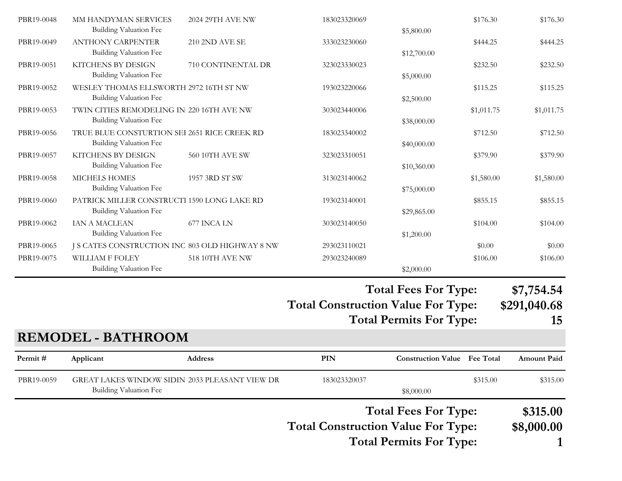|            |                                                                       |                        |              | <b>Total Fees For Type:</b> |            | \$7.754.54 |
|------------|-----------------------------------------------------------------------|------------------------|--------------|-----------------------------|------------|------------|
|            | <b>Building Valuation Fee</b>                                         |                        |              | \$2,000.00                  |            |            |
| PBR19-0075 | <b>WILLIAM F FOLEY</b>                                                | 518 10TH AVE NW        | 293023240089 |                             | \$106.00   | \$106.00   |
| PBR19-0065 | J S CATES CONSTRUCTION INC 803 OLD HIGHWAY 8 NW                       |                        | 293023110021 |                             | \$0.00     | \$0.00     |
|            | Building Valuation Fee                                                |                        |              | \$1,200.00                  |            |            |
| PBR19-0062 | <b>IAN A MACLEAN</b>                                                  | 677 INCA LN            | 303023140050 |                             | \$104.00   | \$104.00   |
| PBR19-0060 | PATRICK MILLER CONSTRUCTI 1590 LONG LAKE RD<br>Building Valuation Fee |                        | 193023140001 | \$29,865.00                 | \$855.15   | \$855.15   |
|            | Building Valuation Fee                                                |                        |              | \$75,000.00                 |            |            |
| PBR19-0058 | <b>MICHELS HOMES</b>                                                  | 1957 3RD ST SW         | 313023140062 |                             | \$1,580.00 | \$1,580.00 |
|            | Building Valuation Fee                                                |                        |              | \$10,360.00                 |            |            |
| PBR19-0057 | <b>KITCHENS BY DESIGN</b>                                             | <b>560 10TH AVE SW</b> | 323023310051 |                             | \$379.90   | \$379.90   |
|            | Building Valuation Fee                                                |                        |              | \$40,000.00                 |            |            |
| PBR19-0056 | TRUE BLUE CONSTURTION SEI 2651 RICE CREEK RD                          |                        | 183023340002 |                             | \$712.50   | \$712.50   |
|            | Building Valuation Fee                                                |                        |              | \$38,000.00                 |            |            |
| PBR19-0053 | TWIN CITIES REMODELING IN 220 16TH AVE NW                             |                        | 303023440006 | \$2,500.00                  | \$1,011.75 | \$1,011.75 |
| PBR19-0052 | WESLEY THOMAS ELLSWORTH 2972 16TH ST NW<br>Building Valuation Fee     |                        | 193023220066 |                             | \$115.25   | \$115.25   |
|            | Building Valuation Fee                                                |                        |              | \$5,000.00                  |            |            |
| PBR19-0051 | KITCHENS BY DESIGN                                                    | 710 CONTINENTAL DR     | 323023330023 |                             | \$232.50   | \$232.50   |
|            | Building Valuation Fee                                                |                        |              | \$12,700.00                 |            |            |
| PBR19-0049 | <b>ANTHONY CARPENTER</b>                                              | <b>210 2ND AVE SE</b>  | 333023230060 |                             | \$444.25   | \$444.25   |
|            | <b>Building Valuation Fee</b>                                         |                        |              | \$5,800.00                  |            |            |
| PBR19-0048 | MM HANDYMAN SERVICES                                                  | 2024 29TH AVE NW       | 183023320069 |                             | \$176.30   | \$176.30   |

#### **Total Fees For Type: \$7,754.54**

**Total Construction Value For Type: \$291,040.68**

**Total Permits For Type: 15**

# **REMODEL - BATHROOM**

| Permit#    | Applicant              | <b>Address</b>                                 | <b>PIN</b>                                | <b>Construction Value Fee Total</b> |          | <b>Amount Paid</b>     |
|------------|------------------------|------------------------------------------------|-------------------------------------------|-------------------------------------|----------|------------------------|
| PBR19-0059 | Building Valuation Fee | GREAT LAKES WINDOW SIDIN 2033 PLEASANT VIEW DR | 183023320037                              | \$8,000.00                          | \$315.00 | \$315.00               |
|            |                        |                                                | <b>Total Construction Value For Type:</b> | <b>Total Fees For Type:</b>         |          | \$315.00<br>\$8,000.00 |

**Total Permits For Type: 1**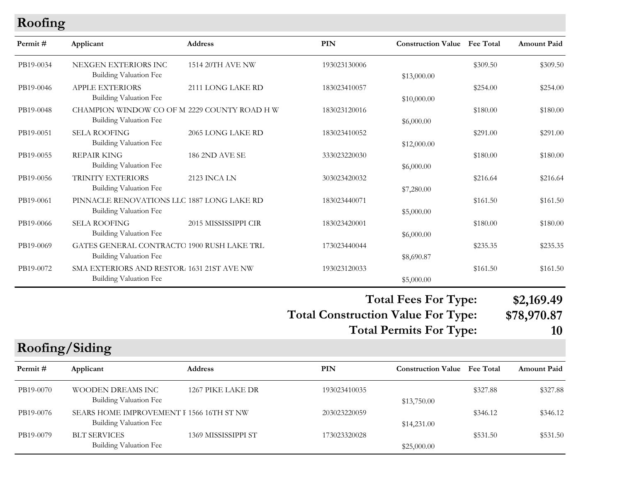## **Roofing**

| Permit#   | Applicant                                                                   | <b>Address</b>          | <b>PIN</b>   | <b>Construction Value</b> Fee Total |          | <b>Amount Paid</b> |
|-----------|-----------------------------------------------------------------------------|-------------------------|--------------|-------------------------------------|----------|--------------------|
| PB19-0034 | NEXGEN EXTERIORS INC<br>Building Valuation Fee                              | <b>1514 20TH AVE NW</b> | 193023130006 | \$13,000.00                         | \$309.50 | \$309.50           |
| PB19-0046 | <b>APPLE EXTERIORS</b><br><b>Building Valuation Fee</b>                     | 2111 LONG LAKE RD       | 183023410057 | \$10,000.00                         | \$254.00 | \$254.00           |
| PB19-0048 | CHAMPION WINDOW CO OF M 2229 COUNTY ROAD H W<br>Building Valuation Fee      |                         | 183023120016 | \$6,000.00                          | \$180.00 | \$180.00           |
| PB19-0051 | <b>SELA ROOFING</b><br><b>Building Valuation Fee</b>                        | 2065 LONG LAKE RD       | 183023410052 | \$12,000.00                         | \$291.00 | \$291.00           |
| PB19-0055 | <b>REPAIR KING</b><br>Building Valuation Fee                                | 186 2ND AVE SE          | 333023220030 | \$6,000.00                          | \$180.00 | \$180.00           |
| PB19-0056 | TRINITY EXTERIORS<br><b>Building Valuation Fee</b>                          | <b>2123 INCA LN</b>     | 303023420032 | \$7,280.00                          | \$216.64 | \$216.64           |
| PB19-0061 | PINNACLE RENOVATIONS LLC 1887 LONG LAKE RD<br><b>Building Valuation Fee</b> |                         | 183023440071 | \$5,000.00                          | \$161.50 | \$161.50           |
| PB19-0066 | <b>SELA ROOFING</b><br><b>Building Valuation Fee</b>                        | 2015 MISSISSIPPI CIR    | 183023420001 | \$6,000.00                          | \$180.00 | \$180.00           |
| PB19-0069 | GATES GENERAL CONTRACTO 1900 RUSH LAKE TRL<br><b>Building Valuation Fee</b> |                         | 173023440044 | \$8,690.87                          | \$235.35 | \$235.35           |
| PB19-0072 | SMA EXTERIORS AND RESTOR. 1631 21ST AVE NW<br><b>Building Valuation Fee</b> |                         | 193023120033 | \$5,000.00                          | \$161.50 | \$161.50           |

**Total Fees For Type: \$2,169.49**

**Total Construction Value For Type: \$78,970.87**

**Total Permits For Type: 10**

**Roofing/Siding**

| Permit#   | Applicant                                                          | <b>Address</b>      | PIN          | <b>Construction Value</b> Fee Total |          | <b>Amount Paid</b> |
|-----------|--------------------------------------------------------------------|---------------------|--------------|-------------------------------------|----------|--------------------|
| PB19-0070 | WOODEN DREAMS INC<br>Building Valuation Fee                        | 1267 PIKE LAKE DR   | 193023410035 | \$13,750.00                         | \$327.88 | \$327.88           |
| PB19-0076 | SEARS HOME IMPROVEMENT I 1566 16TH ST NW<br>Building Valuation Fee |                     | 203023220059 | \$14,231.00                         | \$346.12 | \$346.12           |
| PB19-0079 | <b>BLT SERVICES</b><br>Building Valuation Fee                      | 1369 MISSISSIPPI ST | 173023320028 | \$25,000.00                         | \$531.50 | \$531.50           |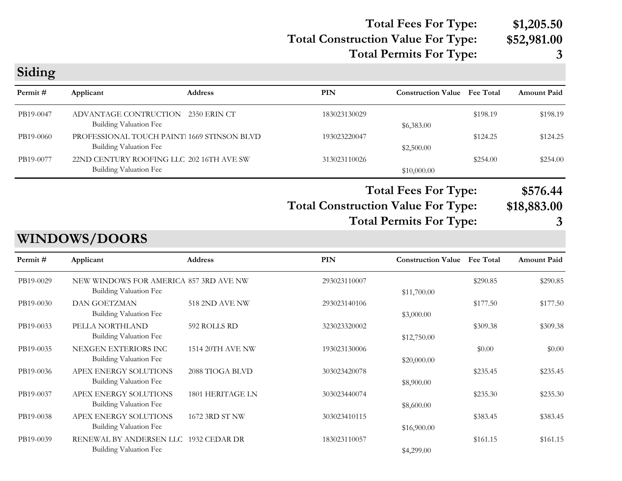## **Total Construction Value For Type: \$52,981.00 Total Fees For Type: \$1,205.50 Total Permits For Type: 3**

| Siding                                                                                                     |                                                                             |                       |              |                                     |                              |                    |
|------------------------------------------------------------------------------------------------------------|-----------------------------------------------------------------------------|-----------------------|--------------|-------------------------------------|------------------------------|--------------------|
| Permit#                                                                                                    | Applicant                                                                   | <b>Address</b>        | <b>PIN</b>   | <b>Construction Value</b>           | <b>Fee Total</b>             | <b>Amount Paid</b> |
| PB19-0047                                                                                                  | ADVANTAGE CONTRUCTION<br><b>Building Valuation Fee</b>                      | <b>2350 ERIN CT</b>   | 183023130029 | \$6,383.00                          | \$198.19                     | \$198.19           |
| PB19-0060                                                                                                  | PROFESSIONAL TOUCH PAINT 1669 STINSON BLVD<br><b>Building Valuation Fee</b> |                       | 193023220047 | \$2,500.00                          | \$124.25                     | \$124.25           |
| PB19-0077                                                                                                  | 22ND CENTURY ROOFING LLC 202 16TH AVE SW<br><b>Building Valuation Fee</b>   |                       | 313023110026 | \$10,000.00                         | \$254.00                     | \$254.00           |
| <b>Total Fees For Type:</b><br><b>Total Construction Value For Type:</b><br><b>Total Permits For Type:</b> |                                                                             |                       |              |                                     | \$576.44<br>\$18,883.00<br>3 |                    |
|                                                                                                            | <b>WINDOWS/DOORS</b>                                                        |                       |              |                                     |                              |                    |
| Permit#                                                                                                    | Applicant                                                                   | <b>Address</b>        | PIN          | <b>Construction Value Fee Total</b> |                              | <b>Amount Paid</b> |
| PB19-0029                                                                                                  | NEW WINDOWS FOR AMERICA 857 3RD AVE NW<br><b>Building Valuation Fee</b>     |                       | 293023110007 | \$11,700.00                         | \$290.85                     | \$290.85           |
| PB19-0030                                                                                                  | <b>DAN GOETZMAN</b><br><b>Building Valuation Fee</b>                        | <b>518 2ND AVE NW</b> | 293023140106 | \$3,000.00                          | \$177.50                     | \$177.50           |
| PB19-0033                                                                                                  | PELLA NORTHLAND<br><b>Building Valuation Fee</b>                            | 592 ROLLS RD          | 323023320002 | \$12,750.00                         | \$309.38                     | \$309.38           |
| PB19-0035                                                                                                  | NEXGEN EXTERIORS INC<br><b>Building Valuation Fee</b>                       | 1514 20TH AVE NW      | 193023130006 | \$20,000.00                         | \$0.00                       | \$0.00             |
| PB19-0036                                                                                                  | APEX ENERGY SOLUTIONS<br><b>Building Valuation Fee</b>                      | 2088 TIOGA BLVD       | 303023420078 | \$8,900.00                          | \$235.45                     | \$235.45           |
| PB19-0037                                                                                                  | APEX ENERGY SOLUTIONS<br><b>Building Valuation Fee</b>                      | 1801 HERITAGE LN      | 303023440074 | \$8,600.00                          | \$235.30                     | \$235.30           |
| PB19-0038                                                                                                  | APEX ENERGY SOLUTIONS<br><b>Building Valuation Fee</b>                      | 1672 3RD ST NW        | 303023410115 | \$16,900.00                         | \$383.45                     | \$383.45           |
| PB19-0039                                                                                                  | RENEWAL BY ANDERSEN LLC 1932 CEDAR DR<br><b>Building Valuation Fee</b>      |                       | 183023110057 | \$4,299.00                          | \$161.15                     | \$161.15           |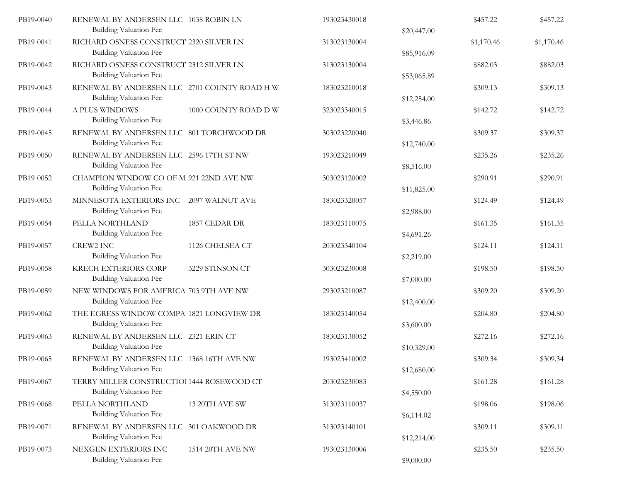| PB19-0040 | RENEWAL BY ANDERSEN LLC 1038 ROBIN LN<br>Building Valuation Fee           |                      | 193023430018 | \$20,447.00 | \$457.22   | \$457.22   |
|-----------|---------------------------------------------------------------------------|----------------------|--------------|-------------|------------|------------|
| PB19-0041 | RICHARD OSNESS CONSTRUCT 2320 SILVER LN<br>Building Valuation Fee         |                      | 313023130004 | \$85,916.09 | \$1,170.46 | \$1,170.46 |
| PB19-0042 | RICHARD OSNESS CONSTRUCT 2312 SILVER LN<br><b>Building Valuation Fee</b>  |                      | 313023130004 | \$53,065.89 | \$882.03   | \$882.03   |
| PB19-0043 | RENEWAL BY ANDERSEN LLC 2701 COUNTY ROAD H W<br>Building Valuation Fee    |                      | 183023210018 | \$12,254.00 | \$309.13   | \$309.13   |
| PB19-0044 | A PLUS WINDOWS<br>Building Valuation Fee                                  | 1000 COUNTY ROAD D W | 323023340015 | \$3,446.86  | \$142.72   | \$142.72   |
| PB19-0045 | RENEWAL BY ANDERSEN LLC 801 TORCHWOOD DR<br>Building Valuation Fee        |                      | 303023220040 | \$12,740.00 | \$309.37   | \$309.37   |
| PB19-0050 | RENEWAL BY ANDERSEN LLC 2596 17TH ST NW<br>Building Valuation Fee         |                      | 193023210049 | \$8,516.00  | \$235.26   | \$235.26   |
| PB19-0052 | CHAMPION WINDOW CO OF M 921 22ND AVE NW<br>Building Valuation Fee         |                      | 303023120002 | \$11,825.00 | \$290.91   | \$290.91   |
| PB19-0053 | MINNESOTA EXTERIORS INC 2097 WALNUT AVE<br>Building Valuation Fee         |                      | 183023320057 | \$2,988.00  | \$124.49   | \$124.49   |
| PB19-0054 | PELLA NORTHLAND<br>Building Valuation Fee                                 | 1857 CEDAR DR        | 183023110075 | \$4,691.26  | \$161.35   | \$161.35   |
| PB19-0057 | <b>CREW2 INC</b><br>Building Valuation Fee                                | 1126 CHELSEA CT      | 203023340104 | \$2,219.00  | \$124.11   | \$124.11   |
| PB19-0058 | <b>KRECH EXTERIORS CORP</b><br><b>Building Valuation Fee</b>              | 3229 STINSON CT      | 303023230008 | \$7,000.00  | \$198.50   | \$198.50   |
| PB19-0059 | NEW WINDOWS FOR AMERICA 703 9TH AVE NW<br>Building Valuation Fee          |                      | 293023210087 | \$12,400.00 | \$309.20   | \$309.20   |
| PB19-0062 | THE EGRESS WINDOW COMPA 1821 LONGVIEW DR<br>Building Valuation Fee        |                      | 183023140054 | \$3,600.00  | \$204.80   | \$204.80   |
| PB19-0063 | RENEWAL BY ANDERSEN LLC 2321 ERIN CT<br>Building Valuation Fee            |                      | 183023130052 | \$10,329.00 | \$272.16   | \$272.16   |
| PB19-0065 | RENEWAL BY ANDERSEN LLC 1368 16TH AVE NW<br><b>Building Valuation Fee</b> |                      | 193023410002 | \$12,680.00 | \$309.34   | \$309.34   |
| PB19-0067 | TERRY MILLER CONSTRUCTIO! 1444 ROSEWOOD CT<br>Building Valuation Fee      |                      | 203023230083 | \$4,550.00  | \$161.28   | \$161.28   |
| PB19-0068 | PELLA NORTHLAND<br><b>Building Valuation Fee</b>                          | 13 20TH AVE SW       | 313023110037 | \$6,114.02  | \$198.06   | \$198.06   |
| PB19-0071 | RENEWAL BY ANDERSEN LLC 301 OAKWOOD DR<br>Building Valuation Fee          |                      | 313023140101 | \$12,214.00 | \$309.11   | \$309.11   |
| PB19-0073 | NEXGEN EXTERIORS INC<br>Building Valuation Fee                            | 1514 20TH AVE NW     | 193023130006 | \$9,000.00  | \$235.50   | \$235.50   |